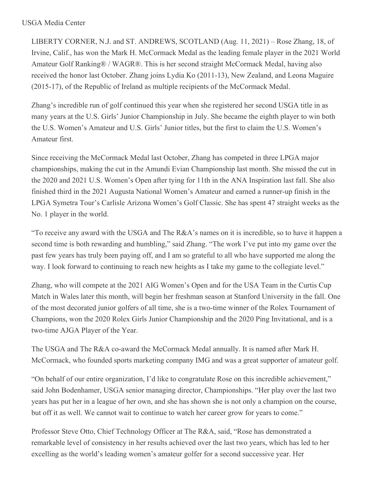LIBERTY CORNER, N.J. and ST. ANDREWS, SCOTLAND (Aug. 11, 2021) – Rose Zhang, 18, of Irvine, Calif., has won the Mark H. McCormack Medal as the leading female player in the 2021 World Amateur Golf Ranking® / WAGR®. This is her second straight McCormack Medal, having also received the honor last October. Zhang joins Lydia Ko (2011-13), New Zealand, and Leona Maguire (2015-17), of the Republic of Ireland as multiple recipients of the McCormack Medal.

Zhang's incredible run of golf continued this year when she registered her second USGA title in as many years at the U.S. Girls' Junior Championship in July. She became the eighth player to win both the U.S. Women's Amateur and U.S. Girls' Junior titles, but the first to claim the U.S. Women's Amateur first.

Since receiving the McCormack Medal last October, Zhang has competed in three LPGA major championships, making the cut in the Amundi Evian Championship last month. She missed the cut in the 2020 and 2021 U.S. Women's Open after tying for 11th in the ANA Inspiration last fall. She also finished third in the 2021 Augusta National Women's Amateur and earned a runner-up finish in the LPGA Symetra Tour's Carlisle Arizona Women's Golf Classic. She has spent 47 straight weeks as the No. 1 player in the world.

"To receive any award with the USGA and The R&A's names on it is incredible, so to have it happen a second time is both rewarding and humbling," said Zhang. "The work I've put into my game over the past few years has truly been paying off, and I am so grateful to all who have supported me along the way. I look forward to continuing to reach new heights as I take my game to the collegiate level."

Zhang, who will compete at the 2021 AIG Women's Open and for the USA Team in the Curtis Cup Match in Wales later this month, will begin her freshman season at Stanford University in the fall. One of the most decorated junior golfers of all time, she is a two-time winner of the Rolex Tournament of Champions, won the 2020 Rolex Girls Junior Championship and the 2020 Ping Invitational, and is a two-time AJGA Player of the Year.

The USGA and The R&A co-award the McCormack Medal annually. It is named after Mark H. McCormack, who founded sports marketing company IMG and was a great supporter of amateur golf.

"On behalf of our entire organization, I'd like to congratulate Rose on this incredible achievement," said John Bodenhamer, USGA senior managing director, Championships. "Her play over the last two years has put her in a league of her own, and she has shown she is not only a champion on the course, but off it as well. We cannot wait to continue to watch her career grow for years to come."

Professor Steve Otto, Chief Technology Officer at The R&A, said, "Rose has demonstrated a remarkable level of consistency in her results achieved over the last two years, which has led to her excelling as the world's leading women's amateur golfer for a second successive year. Her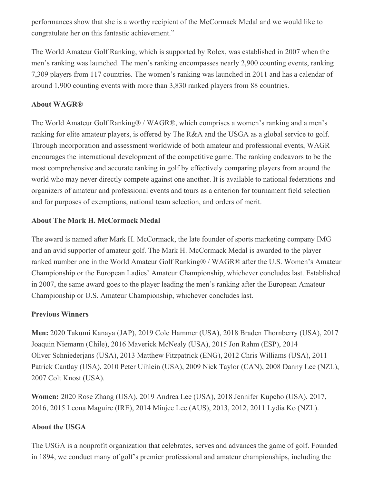performances show that she is a worthy recipient of the McCormack Medal and we would like to congratulate her on this fantastic achievement."

The World Amateur Golf Ranking, which is supported by Rolex, was established in 2007 when the men's ranking was launched. The men's ranking encompasses nearly 2,900 counting events, ranking 7,309 players from 117 countries. The women's ranking was launched in 2011 and has a calendar of around 1,900 counting events with more than 3,830 ranked players from 88 countries.

## **About WAGR®**

The World Amateur Golf Ranking® / WAGR®, which comprises a women's ranking and a men's ranking for elite amateur players, is offered by The R&A and the USGA as a global service to golf. Through incorporation and assessment worldwide of both amateur and professional events, WAGR encourages the international development of the competitive game. The ranking endeavors to be the most comprehensive and accurate ranking in golf by effectively comparing players from around the world who may never directly compete against one another. It is available to national federations and organizers of amateur and professional events and tours as a criterion for tournament field selection and for purposes of exemptions, national team selection, and orders of merit.

# **About The Mark H. McCormack Medal**

The award is named after Mark H. McCormack, the late founder of sports marketing company IMG and an avid supporter of amateur golf. The Mark H. McCormack Medal is awarded to the player ranked number one in the World Amateur Golf Ranking® / WAGR® after the U.S. Women's Amateur Championship or the European Ladies' Amateur Championship, whichever concludes last. Established in 2007, the same award goes to the player leading the men's ranking after the European Amateur Championship or U.S. Amateur Championship, whichever concludes last.

### **Previous Winners**

**Men:** 2020 Takumi Kanaya (JAP), 2019 Cole Hammer (USA), 2018 Braden Thornberry (USA), 2017 Joaquin Niemann (Chile), 2016 Maverick McNealy (USA), 2015 Jon Rahm (ESP), 2014 Oliver Schniederjans (USA), 2013 Matthew Fitzpatrick (ENG), 2012 Chris Williams (USA), 2011 Patrick Cantlay (USA), 2010 Peter Uihlein (USA), 2009 Nick Taylor (CAN), 2008 Danny Lee (NZL), 2007 Colt Knost (USA).

**Women:** 2020 Rose Zhang (USA), 2019 Andrea Lee (USA), 2018 Jennifer Kupcho (USA), 2017, 2016, 2015 Leona Maguire (IRE), 2014 Minjee Lee (AUS), 2013, 2012, 2011 Lydia Ko (NZL).

### **About the USGA**

The USGA is a nonprofit organization that celebrates, serves and advances the game of golf. Founded in 1894, we conduct many of golf's premier professional and amateur championships, including the